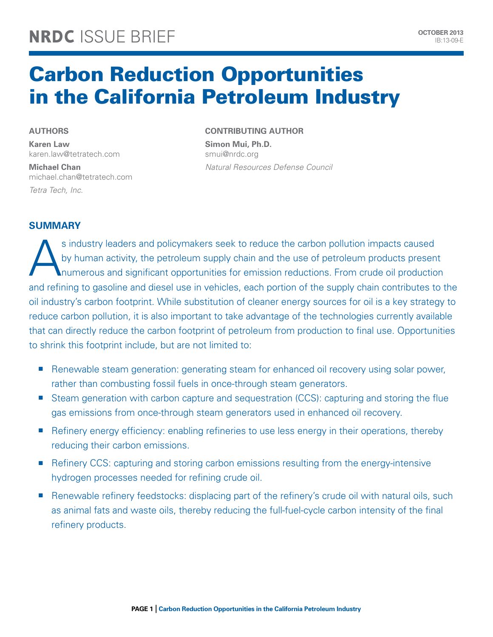# Carbon Reduction Opportunities in the California Petroleum Industry

### **Authors**

**Karen Law**  karen.law@tetratech.com

**Michael Chan**  michael.chan@tetratech.com *Tetra Tech, Inc.*

# **Contributing Author**

**Simon Mui, Ph.D.**  smui@nrdc.org *Natural Resources Defense Council*

# **Summary**

s industry leaders and policymakers seek to reduce the carbon pollution impacts caused<br>by human activity, the petroleum supply chain and the use of petroleum products presen<br>numerous and significant opportunities for emiss by human activity, the petroleum supply chain and the use of petroleum products present numerous and significant opportunities for emission reductions. From crude oil production and refining to gasoline and diesel use in vehicles, each portion of the supply chain contributes to the oil industry's carbon footprint. While substitution of cleaner energy sources for oil is a key strategy to reduce carbon pollution, it is also important to take advantage of the technologies currently available that can directly reduce the carbon footprint of petroleum from production to final use. Opportunities to shrink this footprint include, but are not limited to:

- Renewable steam generation: generating steam for enhanced oil recovery using solar power, rather than combusting fossil fuels in once-through steam generators.
- Steam generation with carbon capture and sequestration (CCS): capturing and storing the flue gas emissions from once-through steam generators used in enhanced oil recovery.
- Refinery energy efficiency: enabling refineries to use less energy in their operations, thereby reducing their carbon emissions.
- <sup>n</sup> Refinery CCS: capturing and storing carbon emissions resulting from the energy-intensive hydrogen processes needed for refining crude oil.
- Renewable refinery feedstocks: displacing part of the refinery's crude oil with natural oils, such as animal fats and waste oils, thereby reducing the full-fuel-cycle carbon intensity of the final refinery products.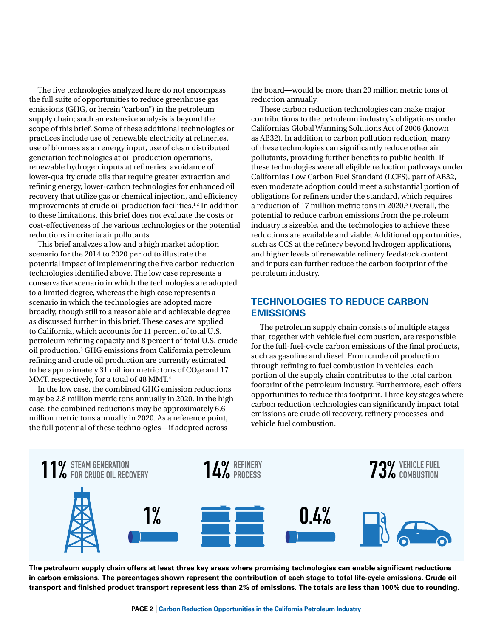The five technologies analyzed here do not encompass the full suite of opportunities to reduce greenhouse gas emissions (GHG, or herein "carbon") in the petroleum supply chain; such an extensive analysis is beyond the scope of this brief. Some of these additional technologies or practices include use of renewable electricity at refineries, use of biomass as an energy input, use of clean distributed generation technologies at oil production operations, renewable hydrogen inputs at refineries, avoidance of lower-quality crude oils that require greater extraction and refining energy, lower-carbon technologies for enhanced oil recovery that utilize gas or chemical injection, and efficiency improvements at crude oil production facilities.<sup>1,2</sup> In addition to these limitations, this brief does not evaluate the costs or cost-effectiveness of the various technologies or the potential reductions in criteria air pollutants.

This brief analyzes a low and a high market adoption scenario for the 2014 to 2020 period to illustrate the potential impact of implementing the five carbon reduction technologies identified above. The low case represents a conservative scenario in which the technologies are adopted to a limited degree, whereas the high case represents a scenario in which the technologies are adopted more broadly, though still to a reasonable and achievable degree as discussed further in this brief. These cases are applied to California, which accounts for 11 percent of total U.S. petroleum refining capacity and 8 percent of total U.S. crude oil production.3 GHG emissions from California petroleum refining and crude oil production are currently estimated to be approximately 31 million metric tons of  $CO<sub>2</sub>e$  and 17 MMT, respectively, for a total of 48 MMT.<sup>4</sup>

In the low case, the combined GHG emission reductions may be 2.8 million metric tons annually in 2020. In the high case, the combined reductions may be approximately 6.6 million metric tons annually in 2020. As a reference point, the full potential of these technologies—if adopted across

the board—would be more than 20 million metric tons of reduction annually.

These carbon reduction technologies can make major contributions to the petroleum industry's obligations under California's Global Warming Solutions Act of 2006 (known as AB32). In addition to carbon pollution reduction, many of these technologies can significantly reduce other air pollutants, providing further benefits to public health. If these technologies were all eligible reduction pathways under California's Low Carbon Fuel Standard (LCFS), part of AB32, even moderate adoption could meet a substantial portion of obligations for refiners under the standard, which requires a reduction of 17 million metric tons in 2020.5 Overall, the potential to reduce carbon emissions from the petroleum industry is sizeable, and the technologies to achieve these reductions are available and viable. Additional opportunities, such as CCS at the refinery beyond hydrogen applications, and higher levels of renewable refinery feedstock content and inputs can further reduce the carbon footprint of the petroleum industry.

# **Technologies to Reduce Carbon Emissions**

The petroleum supply chain consists of multiple stages that, together with vehicle fuel combustion, are responsible for the full-fuel-cycle carbon emissions of the final products, such as gasoline and diesel. From crude oil production through refining to fuel combustion in vehicles, each portion of the supply chain contributes to the total carbon footprint of the petroleum industry. Furthermore, each offers opportunities to reduce this footprint. Three key stages where carbon reduction technologies can significantly impact total emissions are crude oil recovery, refinery processes, and vehicle fuel combustion.



**The petroleum supply chain offers at least three key areas where promising technologies can enable significant reductions in carbon emissions. The percentages shown represent the contribution of each stage to total life-cycle emissions. Crude oil transport and finished product transport represent less than 2% of emissions. The totals are less than 100% due to rounding.**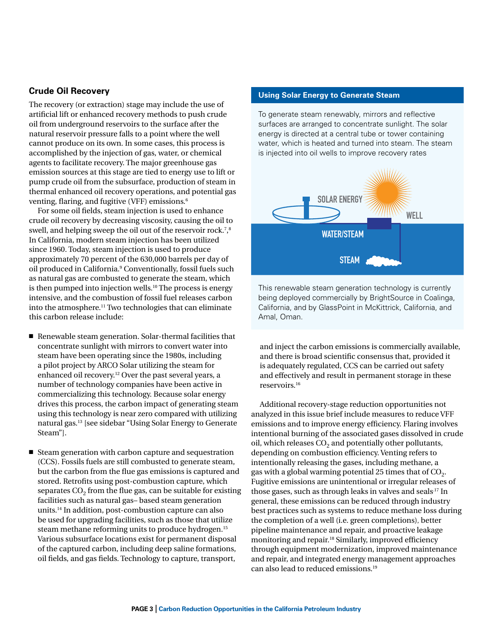#### **Crude Oil Recovery**

The recovery (or extraction) stage may include the use of artificial lift or enhanced recovery methods to push crude oil from underground reservoirs to the surface after the natural reservoir pressure falls to a point where the well cannot produce on its own. In some cases, this process is accomplished by the injection of gas, water, or chemical agents to facilitate recovery. The major greenhouse gas emission sources at this stage are tied to energy use to lift or pump crude oil from the subsurface, production of steam in thermal enhanced oil recovery operations, and potential gas venting, flaring, and fugitive (VFF) emissions.6

For some oil fields, steam injection is used to enhance crude oil recovery by decreasing viscosity, causing the oil to swell, and helping sweep the oil out of the reservoir rock.<sup>7</sup>,<sup>8</sup> In California, modern steam injection has been utilized since 1960. Today, steam injection is used to produce approximately 70 percent of the 630,000 barrels per day of oil produced in California.<sup>9</sup> Conventionally, fossil fuels such as natural gas are combusted to generate the steam, which is then pumped into injection wells.<sup>10</sup> The process is energy intensive, and the combustion of fossil fuel releases carbon into the atmosphere.11 Two technologies that can eliminate this carbon release include:

- $\blacksquare$  Renewable steam generation. Solar-thermal facilities that concentrate sunlight with mirrors to convert water into steam have been operating since the 1980s, including a pilot project by ARCO Solar utilizing the steam for enhanced oil recovery.12 Over the past several years, a number of technology companies have been active in commercializing this technology. Because solar energy drives this process, the carbon impact of generating steam using this technology is near zero compared with utilizing natural gas.13 [see sidebar "Using Solar Energy to Generate Steam"].
- $\blacksquare$  Steam generation with carbon capture and sequestration (CCS). Fossils fuels are still combusted to generate steam, but the carbon from the flue gas emissions is captured and stored. Retrofits using post-combustion capture, which separates  $CO<sub>2</sub>$  from the flue gas, can be suitable for existing facilities such as natural gas– based steam generation units.14 In addition, post-combustion capture can also be used for upgrading facilities, such as those that utilize steam methane reforming units to produce hydrogen.<sup>15</sup> Various subsurface locations exist for permanent disposal of the captured carbon, including deep saline formations, oil fields, and gas fields. Technology to capture, transport,

#### **Using Solar Energy to Generate Steam**

To generate steam renewably, mirrors and reflective surfaces are arranged to concentrate sunlight. The solar energy is directed at a central tube or tower containing water, which is heated and turned into steam. The steam is injected into oil wells to improve recovery rates



This renewable steam generation technology is currently being deployed commercially by BrightSource in Coalinga, California, and by GlassPoint in McKittrick, California, and Amal, Oman.

and inject the carbon emissions is commercially available, and there is broad scientific consensus that, provided it is adequately regulated, CCS can be carried out safety and effectively and result in permanent storage in these reservoirs.16

Additional recovery-stage reduction opportunities not analyzed in this issue brief include measures to reduce VFF emissions and to improve energy efficiency. Flaring involves intentional burning of the associated gases dissolved in crude oil, which releases  $CO<sub>2</sub>$  and potentially other pollutants, depending on combustion efficiency. Venting refers to intentionally releasing the gases, including methane, a gas with a global warming potential 25 times that of  $CO<sub>2</sub>$ . Fugitive emissions are unintentional or irregular releases of those gases, such as through leaks in valves and seals.17 In general, these emissions can be reduced through industry best practices such as systems to reduce methane loss during the completion of a well (i.e. green completions), better pipeline maintenance and repair, and proactive leakage monitoring and repair.<sup>18</sup> Similarly, improved efficiency through equipment modernization, improved maintenance and repair, and integrated energy management approaches can also lead to reduced emissions.19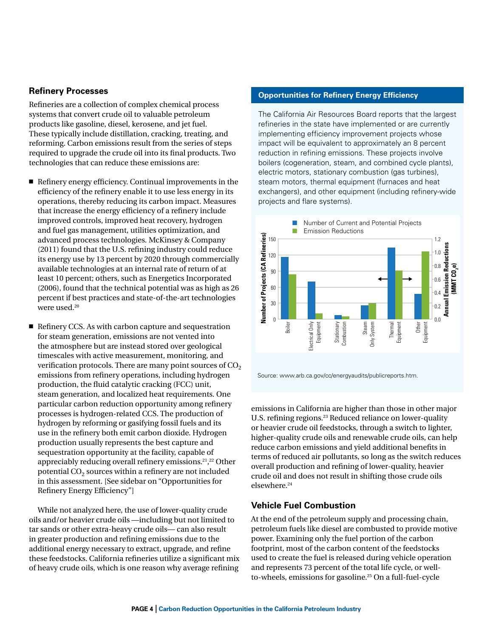#### **Refinery Processes**

Refineries are a collection of complex chemical process systems that convert crude oil to valuable petroleum products like gasoline, diesel, kerosene, and jet fuel. .<br>These typically include distillation, cracking, treating, and reforming. Carbon emissions result from the series of steps 1 required to upgrade the crude oil into its final products. Two technologies that can reduce these emissions are: **Million**  $\alpha$ 

- $\blacksquare$  Refinery energy efficiency. Continual improvements in the efficiency of the refinery enable it to use less energy in its operations, thereby reducing its carbon impact. Measures that increase the energy efficiency of a refinery include improved controls, improved heat recovery, hydrogen and fuel gas management, utilities optimization, and advanced process technologies. McKinsey & Company (2011) found that the U.S. refining industry could reduce its energy use by 13 percent by 2020 through commercially available technologies at an internal rate of return of at least 10 percent; others, such as Energetics Incorporated (2006), found that the technical potential was as high as 26 percent if best practices and state-of-the-art technologies were used.<sup>20</sup>
- $\blacksquare$  Refinery CCS. As with carbon capture and sequestration for steam generation, emissions are not vented into the atmosphere but are instead stored over geological timescales with active measurement, monitoring, and verification protocols. There are many point sources of  $CO<sub>2</sub>$ emissions from refinery operations, including hydrogen production, the fluid catalytic cracking (FCC) unit, steam generation, and localized heat requirements. One particular carbon reduction opportunity among refinery processes is hydrogen-related CCS. The production of hydrogen by reforming or gasifying fossil fuels and its use in the refinery both emit carbon dioxide. Hydrogen production usually represents the best capture and sequestration opportunity at the facility, capable of appreciably reducing overall refinery emissions.21, 22 Other potential  $CO<sub>2</sub>$  sources within a refinery are not included in this assessment. [See sidebar on "Opportunities for Refinery Energy Efficiency"]

While not analyzed here, the use of lower-quality crude oils and/or heavier crude oils —including but not limited to tar sands or other extra-heavy crude oils— can also result in greater production and refining emissions due to the additional energy necessary to extract, upgrade, and refine these feedstocks. California refineries utilize a significant mix of heavy crude oils, which is one reason why average refining

### **Opportunities for Refinery Energy Efficiency**

The California Air Resources Board reports that the largest refineries in the state have implemented or are currently implementing efficiency improvement projects whose impact will be equivalent to approximately an 8 percent reduction in refining emissions. These projects involve boilers (cogeneration, steam, and combined cycle plants), electric motors, stationary combustion (gas turbines), steam motors, thermal equipment (furnaces and heat exchangers), and other equipment (including refinery-wide projects and flare systems). turt



Source: www.arb.ca.gov/cc/energyaudits/publicreports.htm.

emissions in California are higher than those in other major U.S. refining regions.<sup>23</sup> Reduced reliance on lower-quality or heavier crude oil feedstocks, through a switch to lighter, higher-quality crude oils and renewable crude oils, can help reduce carbon emissions and yield additional benefits in terms of reduced air pollutants, so long as the switch reduces overall production and refining of lower-quality, heavier crude oil and does not result in shifting those crude oils elsewhere.<sup>24</sup>

#### **Vehicle Fuel Combustion**

At the end of the petroleum supply and processing chain, petroleum fuels like diesel are combusted to provide motive power. Examining only the fuel portion of the carbon footprint, most of the carbon content of the feedstocks used to create the fuel is released during vehicle operation and represents 73 percent of the total life cycle, or wellto-wheels, emissions for gasoline.25 On a full-fuel-cycle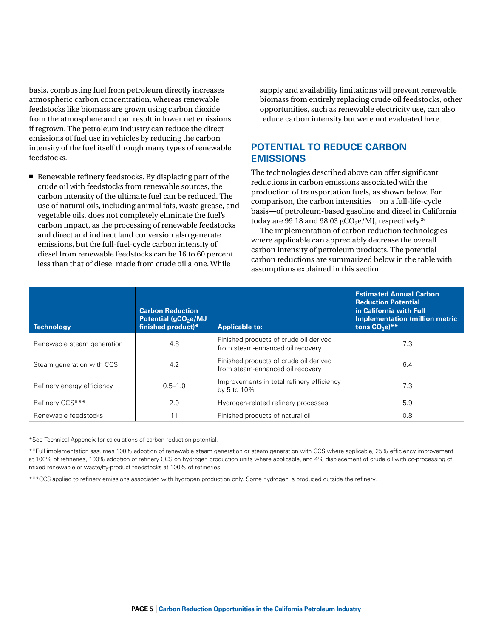basis, combusting fuel from petroleum directly increases atmospheric carbon concentration, whereas renewable feedstocks like biomass are grown using carbon dioxide from the atmosphere and can result in lower net emissions if regrown. The petroleum industry can reduce the direct emissions of fuel use in vehicles by reducing the carbon intensity of the fuel itself through many types of renewable feedstocks.

 $\blacksquare$  Renewable refinery feedstocks. By displacing part of the crude oil with feedstocks from renewable sources, the carbon intensity of the ultimate fuel can be reduced. The use of natural oils, including animal fats, waste grease, and vegetable oils, does not completely eliminate the fuel's carbon impact, as the processing of renewable feedstocks and direct and indirect land conversion also generate emissions, but the full-fuel-cycle carbon intensity of diesel from renewable feedstocks can be 16 to 60 percent less than that of diesel made from crude oil alone. While

supply and availability limitations will prevent renewable biomass from entirely replacing crude oil feedstocks, other opportunities, such as renewable electricity use, can also reduce carbon intensity but were not evaluated here.

# **Potential to Reduce Carbon Emissions**

The technologies described above can offer significant reductions in carbon emissions associated with the production of transportation fuels, as shown below. For comparison, the carbon intensities—on a full-life-cycle basis—of petroleum-based gasoline and diesel in California today are 99.18 and 98.03  $gCO<sub>2</sub>e/MJ$ , respectively.<sup>26</sup>

The implementation of carbon reduction technologies where applicable can appreciably decrease the overall carbon intensity of petroleum products. The potential carbon reductions are summarized below in the table with assumptions explained in this section.

| Technology                 | <b>Carbon Reduction</b><br>Potential (gCO <sub>2</sub> e/MJ<br>finished product)* | <b>Applicable to:</b>                                                      | <b>Estimated Annual Carbon</b><br><b>Reduction Potential</b><br>in California with Full<br><b>Implementation (million metric)</b><br>tons $CO2e)**$ |
|----------------------------|-----------------------------------------------------------------------------------|----------------------------------------------------------------------------|-----------------------------------------------------------------------------------------------------------------------------------------------------|
| Renewable steam generation | 4.8                                                                               | Finished products of crude oil derived<br>from steam-enhanced oil recovery | 7.3                                                                                                                                                 |
| Steam generation with CCS  | 4.2                                                                               | Finished products of crude oil derived<br>from steam-enhanced oil recovery | 6.4                                                                                                                                                 |
| Refinery energy efficiency | $0.5 - 1.0$                                                                       | Improvements in total refinery efficiency<br>by 5 to 10%                   | 7.3                                                                                                                                                 |
| Refinery CCS***            | 2.0                                                                               | Hydrogen-related refinery processes                                        | 5.9                                                                                                                                                 |
| Renewable feedstocks       | 11                                                                                | Finished products of natural oil                                           | 0.8                                                                                                                                                 |

\*See Technical Appendix for calculations of carbon reduction potential.

\*\*Full implementation assumes 100% adoption of renewable steam generation or steam generation with CCS where applicable, 25% efficiency improvement at 100% of refineries, 100% adoption of refinery CCS on hydrogen production units where applicable, and 4% displacement of crude oil with co-processing of mixed renewable or waste/by-product feedstocks at 100% of refineries.

\*\*\*CCS applied to refinery emissions associated with hydrogen production only. Some hydrogen is produced outside the refinery.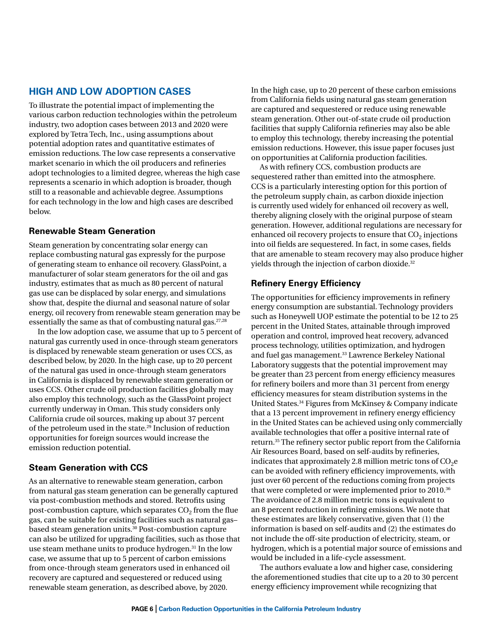# **High and Low Adoption Cases**

To illustrate the potential impact of implementing the various carbon reduction technologies within the petroleum industry, two adoption cases between 2013 and 2020 were explored by Tetra Tech, Inc., using assumptions about potential adoption rates and quantitative estimates of emission reductions. The low case represents a conservative market scenario in which the oil producers and refineries adopt technologies to a limited degree, whereas the high case represents a scenario in which adoption is broader, though still to a reasonable and achievable degree. Assumptions for each technology in the low and high cases are described below.

### **Renewable Steam Generation**

Steam generation by concentrating solar energy can replace combusting natural gas expressly for the purpose of generating steam to enhance oil recovery. GlassPoint, a manufacturer of solar steam generators for the oil and gas industry, estimates that as much as 80 percent of natural gas use can be displaced by solar energy, and simulations show that, despite the diurnal and seasonal nature of solar energy, oil recovery from renewable steam generation may be essentially the same as that of combusting natural gas.<sup>27,28</sup>

In the low adoption case, we assume that up to 5 percent of natural gas currently used in once-through steam generators is displaced by renewable steam generation or uses CCS, as described below, by 2020. In the high case, up to 20 percent of the natural gas used in once-through steam generators in California is displaced by renewable steam generation or uses CCS. Other crude oil production facilities globally may also employ this technology, such as the GlassPoint project currently underway in Oman. This study considers only California crude oil sources, making up about 37 percent of the petroleum used in the state.29 Inclusion of reduction opportunities for foreign sources would increase the emission reduction potential.

# **Steam Generation with CCS**

As an alternative to renewable steam generation, carbon from natural gas steam generation can be generally captured via post-combustion methods and stored. Retrofits using post-combustion capture, which separates  $CO<sub>2</sub>$  from the flue gas, can be suitable for existing facilities such as natural gas– based steam generation units.30 Post-combustion capture can also be utilized for upgrading facilities, such as those that use steam methane units to produce hydrogen.<sup>31</sup> In the low case, we assume that up to 5 percent of carbon emissions from once-through steam generators used in enhanced oil recovery are captured and sequestered or reduced using renewable steam generation, as described above, by 2020.

In the high case, up to 20 percent of these carbon emissions from California fields using natural gas steam generation are captured and sequestered or reduce using renewable steam generation. Other out-of-state crude oil production facilities that supply California refineries may also be able to employ this technology, thereby increasing the potential emission reductions. However, this issue paper focuses just on opportunities at California production facilities.

As with refinery CCS, combustion products are sequestered rather than emitted into the atmosphere. CCS is a particularly interesting option for this portion of the petroleum supply chain, as carbon dioxide injection is currently used widely for enhanced oil recovery as well, thereby aligning closely with the original purpose of steam generation. However, additional regulations are necessary for enhanced oil recovery projects to ensure that  $CO<sub>2</sub>$  injections into oil fields are sequestered. In fact, in some cases, fields that are amenable to steam recovery may also produce higher yields through the injection of carbon dioxide.<sup>32</sup>

# **Refinery Energy Efficiency**

The opportunities for efficiency improvements in refinery energy consumption are substantial. Technology providers such as Honeywell UOP estimate the potential to be 12 to 25 percent in the United States, attainable through improved operation and control, improved heat recovery, advanced process technology, utilities optimization, and hydrogen and fuel gas management.<sup>33</sup> Lawrence Berkeley National Laboratory suggests that the potential improvement may be greater than 23 percent from energy efficiency measures for refinery boilers and more than 31 percent from energy efficiency measures for steam distribution systems in the United States.34 Figures from McKinsey & Company indicate that a 13 percent improvement in refinery energy efficiency in the United States can be achieved using only commercially available technologies that offer a positive internal rate of return.35 The refinery sector public report from the California Air Resources Board, based on self-audits by refineries, indicates that approximately 2.8 million metric tons of  $CO<sub>2</sub>e$ can be avoided with refinery efficiency improvements, with just over 60 percent of the reductions coming from projects that were completed or were implemented prior to 2010.36 The avoidance of 2.8 million metric tons is equivalent to an 8 percent reduction in refining emissions. We note that these estimates are likely conservative, given that (1) the information is based on self-audits and (2) the estimates do not include the off-site production of electricity, steam, or hydrogen, which is a potential major source of emissions and would be included in a life-cycle assessment.

The authors evaluate a low and higher case, considering the aforementioned studies that cite up to a 20 to 30 percent energy efficiency improvement while recognizing that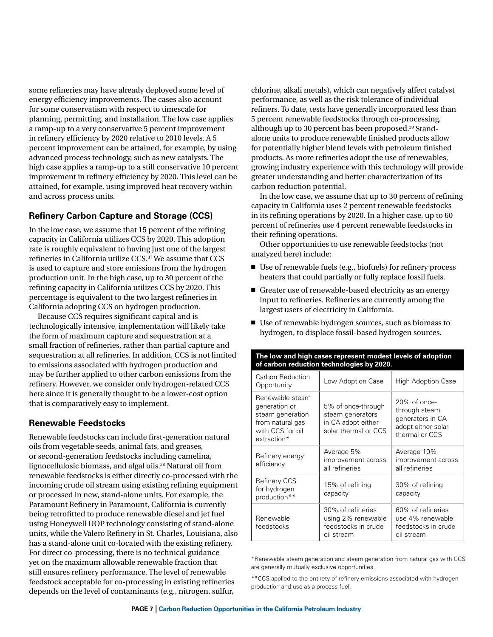some refineries may have already deployed some level of energy efficiency improvements. The cases also account for some conservatism with respect to timescale for planning, permitting, and installation. The low case applies a ramp-up to a very conservative 5 percent improvement in refinery efficiency by 2020 relative to 2010 levels. A 5 percent improvement can be attained, for example, by using advanced process technology, such as new catalysts. The high case applies a ramp-up to a still conservative 10 percent improvement in refinery efficiency by 2020. This level can be attained, for example, using improved heat recovery within and across process units.

### **Refinery Carbon Capture and Storage (CCS)**

In the low case, we assume that 15 percent of the refining capacity in California utilizes CCS by 2020. This adoption rate is roughly equivalent to having just one of the largest refineries in California utilize CCS.37 We assume that CCS is used to capture and store emissions from the hydrogen production unit. In the high case, up to 30 percent of the refining capacity in California utilizes CCS by 2020. This percentage is equivalent to the two largest refineries in California adopting CCS on hydrogen production.

Because CCS requires significant capital and is technologically intensive, implementation will likely take the form of maximum capture and sequestration at a small fraction of refineries, rather than partial capture and sequestration at all refineries. In addition, CCS is not limited to emissions associated with hydrogen production and may be further applied to other carbon emissions from the refinery. However, we consider only hydrogen-related CCS here since it is generally thought to be a lower-cost option that is comparatively easy to implement.

### **Renewable Feedstocks**

Renewable feedstocks can include first-generation natural oils from vegetable seeds, animal fats, and greases, or second-generation feedstocks including camelina, lignocellulosic biomass, and algal oils.38 Natural oil from renewable feedstocks is either directly co-processed with the incoming crude oil stream using existing refining equipment or processed in new, stand-alone units. For example, the Paramount Refinery in Paramount, California is currently being retrofitted to produce renewable diesel and jet fuel using Honeywell UOP technology consisting of stand-alone units, while the Valero Refinery in St. Charles, Louisiana, also has a stand-alone unit co-located with the existing refinery. For direct co-processing, there is no technical guidance yet on the maximum allowable renewable fraction that still ensures refinery performance. The level of renewable feedstock acceptable for co-processing in existing refineries depends on the level of contaminants (e.g., nitrogen, sulfur,

chlorine, alkali metals), which can negatively affect catalyst performance, as well as the risk tolerance of individual refiners. To date, tests have generally incorporated less than 5 percent renewable feedstocks through co-processing, although up to 30 percent has been proposed.<sup>39</sup> Standalone units to produce renewable finished products allow for potentially higher blend levels with petroleum finished products. As more refineries adopt the use of renewables, growing industry experience with this technology will provide greater understanding and better characterization of its carbon reduction potential.

In the low case, we assume that up to 30 percent of refining capacity in California uses 2 percent renewable feedstocks in its refining operations by 2020. In a higher case, up to 60 percent of refineries use 4 percent renewable feedstocks in their refining operations.

Other opportunities to use renewable feedstocks (not analyzed here) include:

- $\blacksquare$  Use of renewable fuels (e.g., biofuels) for refinery process heaters that could partially or fully replace fossil fuels.
- $\blacksquare$  Greater use of renewable-based electricity as an energy input to refineries. Refineries are currently among the largest users of electricity in California.
- Use of renewable hydrogen sources, such as biomass to hydrogen, to displace fossil-based hydrogen sources.

| of carbon reduction technologies by 2020.                                                                   |                                                                                      |                                                                                           |  |
|-------------------------------------------------------------------------------------------------------------|--------------------------------------------------------------------------------------|-------------------------------------------------------------------------------------------|--|
| Carbon Reduction<br>Opportunity                                                                             | Low Adoption Case                                                                    | <b>High Adoption Case</b>                                                                 |  |
| Renewable steam<br>generation or<br>steam generation<br>from natural gas<br>with CCS for oil<br>extraction* | 5% of once-through<br>steam generators<br>in CA adopt either<br>solar thermal or CCS | 20% of once-<br>through steam<br>generators in CA<br>adopt either solar<br>thermal or CCS |  |
| Refinery energy<br>efficiency                                                                               | Average 5%<br>improvement across<br>all refineries                                   | Average 10%<br>improvement across<br>all refineries                                       |  |
| <b>Refinery CCS</b><br>for hydrogen<br>production**                                                         | 15% of refining<br>capacity                                                          | 30% of refining<br>capacity                                                               |  |
| 30% of refineries<br>Renewable<br>using 2% renewable<br>feedstocks in crude<br>feedstocks<br>oil stream     |                                                                                      | 60% of refineries<br>use 4% renewable<br>feedstocks in crude<br>oil stream                |  |

\*Renewable steam generation and steam generation from natural gas with CCS are generally mutually exclusive opportunities.

\*\*CCS applied to the entirety of refinery emissions associated with hydrogen production and use as a process fuel.

#### **The low and high cases represent modest levels of adoption of carbon reduction technologies by 2020.**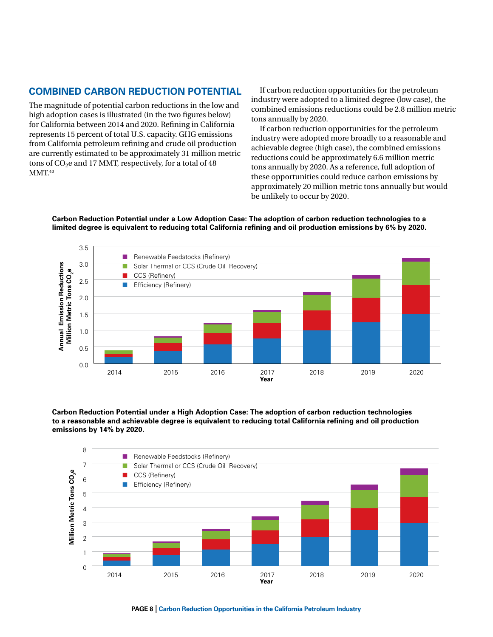# **Combined Carbon Reduction Potential**

The magnitude of potential carbon reductions in the low and high adoption cases is illustrated (in the two figures below) for California between 2014 and 2020. Refining in California represents 15 percent of total U.S. capacity. GHG emissions from California petroleum refining and crude oil production are currently estimated to be approximately 31 million metric tons of  $CO<sub>2</sub>e$  and 17 MMT, respectively, for a total of 48  $MMT<sup>40</sup>$ 

If carbon reduction opportunities for the petroleum industry were adopted to a limited degree (low case), the combined emissions reductions could be 2.8 million metric tons annually by 2020.

If carbon reduction opportunities for the petroleum industry were adopted more broadly to a reasonable and achievable degree (high case), the combined emissions reductions could be approximately 6.6 million metric tons annually by 2020. As a reference, full adoption of these opportunities could reduce carbon emissions by approximately 20 million metric tons annually but would be unlikely to occur by 2020.

**Carbon Reduction Potential under a Low Adoption Case: The adoption of carbon reduction technologies to a limited degree is equivalent to reducing total California refining and oil production emissions by 6% by 2020.**



emissions by 14% by 2020. eduction Potential under a High Adoption Case: The adoption of carbon reduction technologies to a reasonable and achievable degree is equivalent to reducing total California refining and oil production **Year Carbon Reduction Potential under a High Adoption Case: The adoption of carbon reduction technologies** 

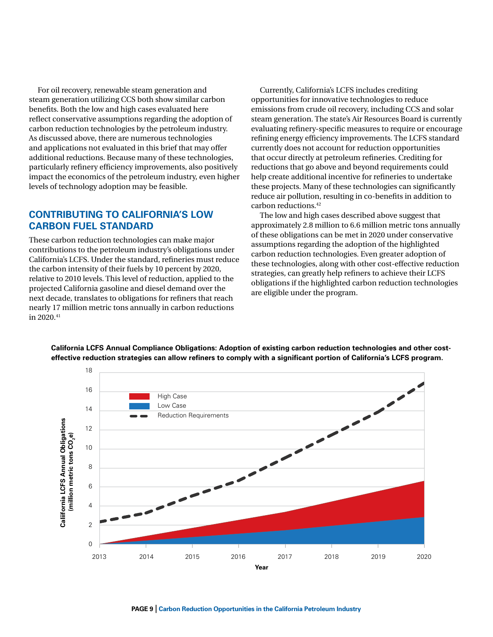For oil recovery, renewable steam generation and steam generation utilizing CCS both show similar carbon benefits. Both the low and high cases evaluated here reflect conservative assumptions regarding the adoption of carbon reduction technologies by the petroleum industry. As discussed above, there are numerous technologies and applications not evaluated in this brief that may offer additional reductions. Because many of these technologies, particularly refinery efficiency improvements, also positively impact the economics of the petroleum industry, even higher levels of technology adoption may be feasible. rual Emission Reduction<br>Beductions<br>And Strips **c**c<br>ra<br>other<br>uc<br>d a

# **CONTRIBUTING TO CALIFORNIA'S LOW CARBON FUEL STANDARD** approximately

These carbon reduction technologies can make major contributions to the petroleum industry's obligations under California's LCFS. Under the standard, refineries must reduce the carbon intensity of their fuels by 10 percent by 2020, 4 relative to 2010 levels. This level of reduction, applied to the projected California gasoline and diesel demand over the 3 next decade, translates to obligations for refiners that reach nearly 17 million metric tons annually in carbon reductions 2 in 2020.41

Currently, California's LCFS includes crediting opportunities for innovative technologies to reduce emissions from crude oil recovery, including CCS and solar steam generation. The state's Air Resources Board is currently evaluating refinery-specific measures to require or encourage refining energy efficiency improvements. The LCFS standard currently does not account for reduction opportunities that occur directly at petroleum refineries. Crediting for reductions that go above and beyond requirements could help create additional incentive for refineries to undertake of the petroleum industry, even higher help create additional incentive for refineries to undertake these projects. Many of these technologies can significantly reduce air pollution, resulting in co-benefits in addition to carbon reductions.42 **p** cr

> The low and high cases described above suggest that approximately 2.8 million to 6.6 million metric tons annually of these obligations can be met in 2020 under conservative assumptions regarding the adoption of the highlighted carbon reduction technologies. Even greater adoption of these technologies, along with other cost-effective reduction strategies, can greatly help refiners to achieve their LCFS obligations if the highlighted carbon reduction technologies are eligible under the program.



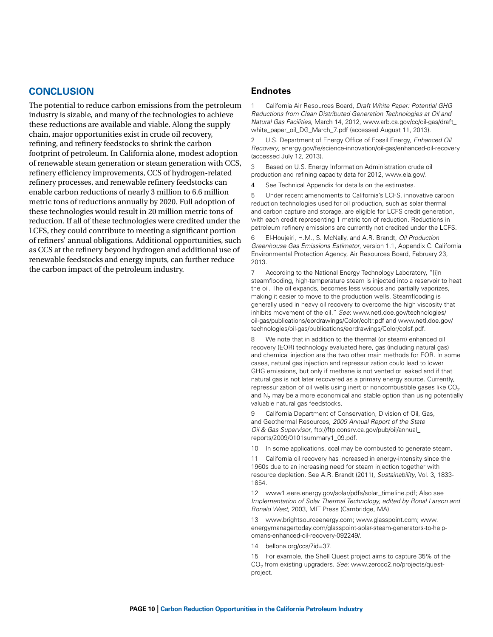# **Conclusion**

The potential to reduce carbon emissions from the petroleum industry is sizable, and many of the technologies to achieve these reductions are available and viable. Along the supply chain, major opportunities exist in crude oil recovery, refining, and refinery feedstocks to shrink the carbon footprint of petroleum. In California alone, modest adoption of renewable steam generation or steam generation with CCS, refinery efficiency improvements, CCS of hydrogen-related refinery processes, and renewable refinery feedstocks can enable carbon reductions of nearly 3 million to 6.6 million metric tons of reductions annually by 2020. Full adoption of these technologies would result in 20 million metric tons of reduction. If all of these technologies were credited under the LCFS, they could contribute to meeting a significant portion of refiners' annual obligations. Additional opportunities, such as CCS at the refinery beyond hydrogen and additional use of renewable feedstocks and energy inputs, can further reduce the carbon impact of the petroleum industry.

#### **Endnotes**

1 California Air Resources Board, *Draft White Paper: Potential GHG Reductions from Clean Distributed Generation Technologies at Oil and Natural Gas Facilities*, March 14, 2012, [www.arb.ca.gov/cc/oil-gas/draft\\_](http://www.arb.ca.gov/cc/oil-gas/draft_white_paper_oil_DG_March_7.pdf) [white\\_paper\\_oil\\_DG\\_March\\_7.pdf](http://www.arb.ca.gov/cc/oil-gas/draft_white_paper_oil_DG_March_7.pdf) (accessed August 11, 2013).

2 U.S. Department of Energy Office of Fossil Energy, *Enhanced Oil Recovery*, energy.gov/fe/science-innovation/oil-gas/enhanced-oil-recovery (accessed July 12, 2013).

3 Based on U.S. Energy Information Administration crude oil production and refining capacity data for 2012, www.eia.gov/.

4 See Technical Appendix for details on the estimates.

5 Under recent amendments to California's LCFS, innovative carbon reduction technologies used for oil production, such as solar thermal and carbon capture and storage, are eligible for LCFS credit generation, with each credit representing 1 metric ton of reduction. Reductions in petroleum refinery emissions are currently not credited under the LCFS.

6 El-Houjeiri, H.M., S. McNally, and A.R. Brandt, *Oil Production Greenhouse Gas Emissions Estimator*, version 1.1, Appendix C. California Environmental Protection Agency, Air Resources Board, February 23, 2013.

7 According to the National Energy Technology Laboratory, "[i]n steamflooding, high-temperature steam is injected into a reservoir to heat the oil. The oil expands, becomes less viscous and partially vaporizes, making it easier to move to the production wells. Steamflooding is generally used in heavy oil recovery to overcome the high viscosity that inhibits movement of the oil." *See*: [www.netl.doe.gov/technologies/](http://www.netl.doe.gov/technologies/oil-gas/publications/eordrawings/Color/coltr.pdf) [oil-gas/publications/eordrawings/Color/coltr.pdf](http://www.netl.doe.gov/technologies/oil-gas/publications/eordrawings/Color/coltr.pdf) and www.netl.doe.gov/ technologies/oil-gas/publications/eordrawings/Color/colsf.pdf.

8 We note that in addition to the thermal (or steam) enhanced oil recovery (EOR) technology evaluated here, gas (including natural gas) and chemical injection are the two other main methods for EOR. In some cases, natural gas injection and repressurization could lead to lower GHG emissions, but only if methane is not vented or leaked and if that natural gas is not later recovered as a primary energy source. Currently, repressurization of oil wells using inert or noncombustible gases like  $CO<sub>2</sub>$ and  $N<sub>2</sub>$  may be a more economical and stable option than using potentially valuable natural gas feedstocks.

9 California Department of Conservation, Division of Oil, Gas, and Geothermal Resources, *2009 Annual Report of the State Oil & Gas Supervisor*, ftp://ftp.consrv.ca.gov/pub/oil/annual\_ reports/2009/0101summary1\_09.pdf.

10 In some applications, coal may be combusted to generate steam.

11 California oil recovery has increased in energy-intensity since the 1960s due to an increasing need for steam injection together with resource depletion. See A.R. Brandt (2011), *Sustainability*, Vol. 3, 1833- 1854.

12 [www1.eere.energy.gov/solar/pdfs/solar\\_timeline.pdf](http://www1.eere.energy.gov/solar/pdfs/solar_timeline.pdf); Also see *Implementation of Solar Thermal Technology, edited by Ronal Larson and Ronald West*, 2003, MIT Press (Cambridge, MA).

13 [www.brightsourceenergy.com](http://www.brightsourceenergy.com); [www.glasspoint.com](http://www.glasspoint.com/technology/); www. energymanagertoday.com/glasspoint-solar-steam-generators-to-helpomans-enhanced-oil-recovery-092249/.

14 bellona.org/ccs/?id=37.

15 For example, the Shell Quest project aims to capture 35% of the CO<sub>2</sub> from existing upgraders. See: www.zeroco2.no/projects/questproject.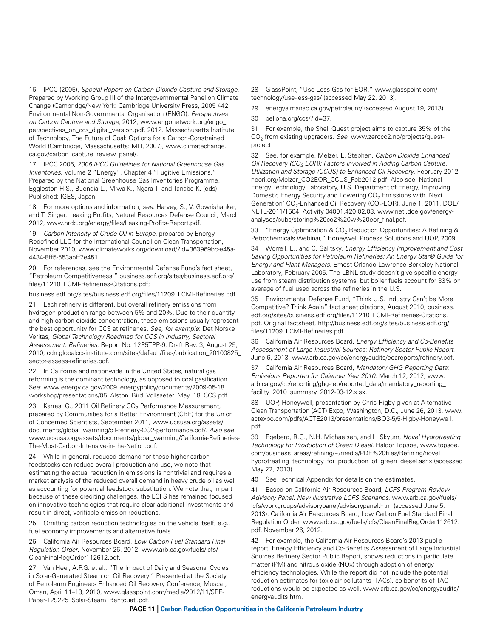16 IPCC (2005), *Special Report on Carbon Dioxide Capture and Storage*. Prepared by Working Group III of the Intergovernmental Panel on Climate Change (Cambridge/New York: Cambridge University Press, 2005 442. Environmental Non-Governmental Organisation (ENGO), *Perspectives on Carbon Capture and Storage*, 2012, www.engonetwork.org/engo\_ perspectives on ccs digital version.pdf. 2012. Massachusetts Institute of Technology, The Future of Coal: Options for a Carbon-Constrained World (Cambridge, Massachusetts: MIT, 2007), www.climatechange. ca.gov/carbon\_capture\_review\_panel/.

17 IPCC 2006, *2006 IPCC Guidelines for National Greenhouse Gas Inventories*, Volume 2 "Energy", Chapter 4 "Fugitive Emissions." Prepared by the National Greenhouse Gas Inventories Programme, Eggleston H.S., Buendia L., Miwa K., Ngara T. and Tanabe K. (eds). Published: IGES, Japan.

18 For more options and information, *see*: Harvey, S., V. Gowrishankar, and T. Singer, Leaking Profits, Natural Resources Defense Council, March 2012, www.nrdc.org/energy/files/Leaking-Profits-Report.pdf.

19 *Carbon Intensity of Crude Oil in Europe*, prepared by Energy-Redefined LLC for the International Council on Clean Transportation, November 2010, www.climateworks.org/download/?id=363969bc-e45a-4434-8ff5-553abff7e451.

20 For references, see the Environmental Defense Fund's fact sheet, "Petroleum Competitiveness," [business.edf.org/sites/business.edf.org/](http://business.edf.org/sites/business.edf.org/files/11210_LCMI-Refineries-Citations.pdf) [files/11210\\_LCMI-Refineries-Citations.pdf](http://business.edf.org/sites/business.edf.org/files/11210_LCMI-Refineries-Citations.pdf);

business.edf.org/sites/business.edf.org/files/11209\_LCMI-Refineries.pdf.

21 Each refinery is different, but overall refinery emissions from hydrogen production range between 5% and 20%. Due to their quantity and high carbon dioxide concentration, these emissions usually represent the best opportunity for CCS at refineries. *See, for example*: Det Norske Veritas, *Global Technology Roadmap for CCS in Industry, Sectoral Assessment: Refineries*, Report No. 12P5TPP-9, Draft Rev. 3, August 25, 2010, [cdn.globalccsinstitute.com/sites/default/files/publication\\_20100825\\_](http://cdn.globalccsinstitute.com/sites/default/files/publication_20100825_sector-assess-refineries.pdf) [sector-assess-refineries.pdf.](http://cdn.globalccsinstitute.com/sites/default/files/publication_20100825_sector-assess-refineries.pdf)

22 In California and nationwide in the United States, natural gas reforming is the dominant technology, as opposed to coal gasification. See: www.energy.ca.gov/2009\_energypolicy/documents/2009-05-18\_ workshop/presentations/05\_Alston\_Bird\_Vollsaeter\_May\_18\_CCS.pdf.

23 Karras, G., 2011 Oil Refinery  $CO<sub>2</sub>$  Performance Measurement, prepared by Communities for a Better Environment (CBE) for the Union of Concerned Scientists, September 2011, [www.ucsusa.org/assets/](http://www.ucsusa.org/assets/documents/global_warming/oil-refinery-CO2-performance.pdf/) [documents/global\\_warming/oil-refinery-CO2-performance.pdf/.](http://www.ucsusa.org/assets/documents/global_warming/oil-refinery-CO2-performance.pdf/) *Also see*: [www.ucsusa.org/assets/documents/global\\_warming/California-Refineries-](http://www.ucsusa.org/assets/documents/global_warming/California-Refineries-The-Most-Carbon-Intensive-in-the-Nation.pdf)[The-Most-Carbon-Intensive-in-the-Nation.pdf.](http://www.ucsusa.org/assets/documents/global_warming/California-Refineries-The-Most-Carbon-Intensive-in-the-Nation.pdf)

24 While in general, reduced demand for these higher-carbon feedstocks can reduce overall production and use, we note that estimating the actual reduction in emissions is nontrivial and requires a market analysis of the reduced overall demand in heavy crude oil as well as accounting for potential feedstock substitution. We note that, in part because of these crediting challenges, the LCFS has remained focused on innovative technologies that require clear additional investments and result in direct, verifiable emission reductions.

25 Omitting carbon reduction technologies on the vehicle itself, e.g., fuel economy improvements and alternative fuels.

26 California Air Resources Board, *Low Carbon Fuel Standard Final Regulation Order*, November 26, 2012, www.arb.ca.gov/fuels/lcfs/ CleanFinalRegOrder112612.pdf.

27 Van Heel, A.P.G. et al., "The Impact of Daily and Seasonal Cycles in Solar-Generated Steam on Oil Recovery." Presented at the Society of Petroleum Engineers Enhanced Oil Recovery Conference, Muscat, Oman, April 11–13, 2010, www.glasspoint.com/media/2012/11/SPE-Paper-129225\_Solar-Steam\_Bentouati.pdf.

28 GlassPoint, "Use Less Gas for EOR," [www.glasspoint.com/](http://www.glasspoint.com/technology/use-less-gas/) [technology/use-less-gas/](http://www.glasspoint.com/technology/use-less-gas/) (accessed May 22, 2013).

29 [energyalmanac.ca.gov/petroleum/](http://energyalmanac.ca.gov/petroleum/) (accessed August 19, 2013).

30 bellona.org/ccs/?id=37.

31 For example, the Shell Quest project aims to capture 35% of the CO<sub>2</sub> from existing upgraders. See: www.zeroco2.no/projects/questproject

32 See, for example, Melzer, L. Stephen, *Carbon Dioxide Enhanced Oil Recovery (CO<sub>2</sub> EOR): Factors Involved in Adding Carbon Capture, Utilization and Storage (CCUS) to Enhanced Oil Recovery*, February 2012, [neori.org/Melzer\\_CO2EOR\\_CCUS\\_Feb2012.pdf.](http://neori.org/Melzer_CO2EOR_CCUS_Feb2012.pdf) Also see: National Energy Technology Laboratory, U.S. Department of Energy, Improving Domestic Energy Security and Lowering  $CO<sub>2</sub>$  Emissions with 'Next Generation' CO<sub>2</sub>-Enhanced Oil Recovery (CO<sub>2</sub>-EOR), June 1, 2011, DOE/ NETL-2011/1504, Activity 04001.420.02.03, [www.netl.doe.gov/energy](http://www.netl.doe.gov/energy-analyses/pubs/storing co2 w eor_final.pdf)[analyses/pubs/storing%20co2%20w%20eor\\_final.pdf](http://www.netl.doe.gov/energy-analyses/pubs/storing co2 w eor_final.pdf).

33 "Energy Optimization & CO<sub>2</sub> Reduction Opportunities: A Refining & Petrochemicals Webinar," Honeywell Process Solutions and UOP, 2009.

34 Worrell, E., and C. Galitsky, *Energy Efficiency Improvement and Cost Saving Opportunities for Petroleum Refineries: An Energy Star® Guide for Energy and Plant Managers*. Ernest Orlando Lawrence Berkeley National Laboratory, February 2005. The LBNL study doesn't give specific energy use from steam distribution systems, but boiler fuels account for 33% on average of fuel used across the refineries in the U.S.

35 Environmental Defense Fund, "Think U.S. Industry Can't be More Competitive? Think Again" fact sheet citations, August 2010, business. edf.org/sites/business.edf.org/files/11210\_LCMI-Refineries-Citations. pdf. Original factsheet, http://business.edf.org/sites/business.edf.org/ files/11209\_LCMI-Refineries.pdf

36 California Air Resources Board, *Energy Efficiency and Co-Benefits Assessment of Large Industrial Sources: Refinery Sector Public Report*, June 6, 2013, www.arb.ca.gov/cc/energyaudits/eeareports/refinery.pdf.

37 California Air Resources Board, *Mandatory GHG Reporting Data: Emissions Reported for Calendar Year 2010*, March 12, 2012, www. arb.ca.gov/cc/reporting/ghg-rep/reported\_data/mandatory\_reporting\_ facility\_2010\_summary\_2012-03-12.xlsx.

38 UOP, Honeywell, presentation by Chris Higby given at Alternative Clean Transportation (ACT) Expo, Washington, D.C., June 26, 2013, www. actexpo.com/pdfs/ACTE2013/presentations/BO3-5/5-Higby-Honeywell. pdf.

39 Egeberg, R.G., N.H. Michaelsen, and L. Skyum, *Novel Hydrotreating Technology for Production of Green Diesel*. Haldor Topsøe, [www.topsoe.](http://www.topsoe.com/business_areas/refining/~/media/PDF files/Refining/novel_hydrotreating_technology_for_production_of_green_diesel.ashx) [com/business\\_areas/refining/~/media/PDF%20files/Refining/novel\\_](http://www.topsoe.com/business_areas/refining/~/media/PDF files/Refining/novel_hydrotreating_technology_for_production_of_green_diesel.ashx) [hydrotreating\\_technology\\_for\\_production\\_of\\_green\\_diesel.ashx](http://www.topsoe.com/business_areas/refining/~/media/PDF files/Refining/novel_hydrotreating_technology_for_production_of_green_diesel.ashx) (accessed May 22, 2013).

40 See Technical Appendix for details on the estimates.

41 Based on California Air Resources Board, *LCFS Program Review Advisory Panel: New Illustrative LCFS Scenarios*, [www.arb.ca.gov/fuels/](http://www.arb.ca.gov/fuels/lcfs/workgroups/advisorypanel/advisorypanel.htm) [lcfs/workgroups/advisorypanel/advisorypanel.htm](http://www.arb.ca.gov/fuels/lcfs/workgroups/advisorypanel/advisorypanel.htm) (accessed June 5, 2013); California Air Resources Board, Low Carbon Fuel Standard Final Regulation Order, www.arb.ca.gov/fuels/lcfs/CleanFinalRegOrder112612. pdf, November 26, 2012.

42 For example, the California Air Resources Board's 2013 public report, Energy Efficiency and Co-Benefits Assessment of Large Industrial Sources Refinery Sector Public Report, shows reductions in particulate matter (PM) and nitrous oxide (NOx) through adoption of energy efficiency technologies. While the report did not include the potential reduction estimates for toxic air pollutants (TACs), co-benefits of TAC reductions would be expected as well. www.arb.ca.gov/cc/energyaudits/ energyaudits.htm.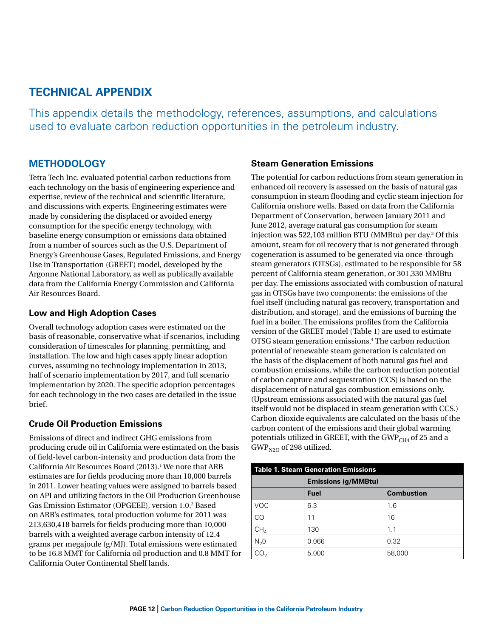# **Technical Appendix**

This appendix details the methodology, references, assumptions, and calculations used to evaluate carbon reduction opportunities in the petroleum industry.

# **Methodology**

Tetra Tech Inc. evaluated potential carbon reductions from each technology on the basis of engineering experience and expertise, review of the technical and scientific literature, and discussions with experts. Engineering estimates were made by considering the displaced or avoided energy consumption for the specific energy technology, with baseline energy consumption or emissions data obtained from a number of sources such as the U.S. Department of Energy's Greenhouse Gases, Regulated Emissions, and Energy Use in Transportation (GREET) model, developed by the Argonne National Laboratory, as well as publically available data from the California Energy Commission and California Air Resources Board.

# **Low and High Adoption Cases**

Overall technology adoption cases were estimated on the basis of reasonable, conservative what-if scenarios, including consideration of timescales for planning, permitting, and installation. The low and high cases apply linear adoption curves, assuming no technology implementation in 2013, half of scenario implementation by 2017, and full scenario implementation by 2020. The specific adoption percentages for each technology in the two cases are detailed in the issue brief.

# **Crude Oil Production Emissions**

Emissions of direct and indirect GHG emissions from producing crude oil in California were estimated on the basis of field-level carbon-intensity and production data from the California Air Resources Board (2013).<sup>1</sup> We note that ARB estimates are for fields producing more than 10,000 barrels in 2011. Lower heating values were assigned to barrels based on API and utilizing factors in the Oil Production Greenhouse Gas Emission Estimator (OPGEEE), version 1.0.2 Based on ARB's estimates, total production volume for 2011 was 213,630,418 barrels for fields producing more than 10,000 barrels with a weighted average carbon intensity of 12.4 grams per megajoule (g/MJ). Total emissions were estimated to be 16.8 MMT for California oil production and 0.8 MMT for California Outer Continental Shelf lands.

# **Steam Generation Emissions**

The potential for carbon reductions from steam generation in enhanced oil recovery is assessed on the basis of natural gas consumption in steam flooding and cyclic steam injection for California onshore wells. Based on data from the California Department of Conservation, between January 2011 and June 2012, average natural gas consumption for steam injection was 522,103 million BTU (MMBtu) per day.3 Of this amount, steam for oil recovery that is not generated through cogeneration is assumed to be generated via once-through steam generators (OTSGs), estimated to be responsible for 58 percent of California steam generation, or 301,330 MMBtu per day. The emissions associated with combustion of natural gas in OTSGs have two components: the emissions of the fuel itself (including natural gas recovery, transportation and distribution, and storage), and the emissions of burning the fuel in a boiler. The emissions profiles from the California version of the GREET model ([Table 1\)](#page-11-0) are used to estimate OTSG steam generation emissions.4 The carbon reduction potential of renewable steam generation is calculated on the basis of the displacement of both natural gas fuel and combustion emissions, while the carbon reduction potential of carbon capture and sequestration (CCS) is based on the displacement of natural gas combustion emissions only. (Upstream emissions associated with the natural gas fuel itself would not be displaced in steam generation with CCS.) Carbon dioxide equivalents are calculated on the basis of the carbon content of the emissions and their global warming potentials utilized in GREET, with the GWP<sub>CH4</sub> of 25 and a  $GWP<sub>N2O</sub>$  of 298 utilized.

<span id="page-11-0"></span>

| <b>Table 1. Steam Generation Emissions</b> |                            |                   |  |
|--------------------------------------------|----------------------------|-------------------|--|
|                                            | <b>Emissions (g/MMBtu)</b> |                   |  |
|                                            | <b>Fuel</b>                | <b>Combustion</b> |  |
| VOC.                                       | 6.3                        | 1.6               |  |
| <b>CO</b>                                  | 11                         | 16                |  |
| CH <sub>4</sub>                            | 130                        | 1 <sub>1</sub>    |  |
| N <sub>2</sub> 0                           | 0.066                      | 0.32              |  |
|                                            | 5,000                      | 58,000            |  |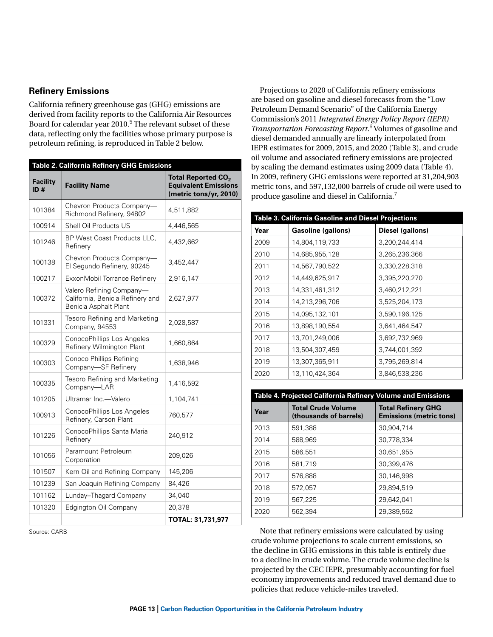### **Refinery Emissions**

California refinery greenhouse gas (GHG) emissions are derived from facility reports to the California Air Resources Board for calendar year 2010.<sup>5</sup> The relevant subset of these data, reflecting only the facilities whose primary purpose is petroleum refining, is reproduced in [Table 2](#page-12-0) below.

<span id="page-12-0"></span>

| Table 2. California Refinery GHG Emissions |                                                                                       |                                                                                         |  |
|--------------------------------------------|---------------------------------------------------------------------------------------|-----------------------------------------------------------------------------------------|--|
| <b>Facility</b><br>ID#                     | <b>Facility Name</b>                                                                  | Total Reported CO <sub>2</sub><br><b>Equivalent Emissions</b><br>(metric tons/yr, 2010) |  |
| 101384                                     | Chevron Products Company-<br>Richmond Refinery, 94802                                 | 4,511,882                                                                               |  |
| 100914                                     | Shell Oil Products US                                                                 | 4,446,565                                                                               |  |
| 101246                                     | BP West Coast Products LLC,<br>Refinery                                               | 4,432,662                                                                               |  |
| 100138                                     | Chevron Products Company-<br>El Segundo Refinery, 90245                               | 3,452,447                                                                               |  |
| 100217                                     | ExxonMobil Torrance Refinery                                                          | 2,916,147                                                                               |  |
| 100372                                     | Valero Refining Company-<br>California, Benicia Refinery and<br>Benicia Asphalt Plant | 2,627,977                                                                               |  |
| 101331                                     | Tesoro Refining and Marketing<br>Company, 94553                                       | 2,028,587                                                                               |  |
| 100329                                     | ConocoPhillips Los Angeles<br>Refinery Wilmington Plant                               | 1,660,864                                                                               |  |
| 100303                                     | Conoco Phillips Refining<br>Company-SF Refinery                                       | 1,638,946                                                                               |  |
| 100335                                     | Tesoro Refining and Marketing<br>Company-LAR                                          | 1,416,592                                                                               |  |
| 101205                                     | Ultramar Inc.-Valero                                                                  | 1,104,741                                                                               |  |
| 100913                                     | ConocoPhillips Los Angeles<br>Refinery, Carson Plant                                  | 760,577                                                                                 |  |
| 101226                                     | ConocoPhillips Santa Maria<br>Refinery                                                | 240.912                                                                                 |  |
| 101056                                     | Paramount Petroleum<br>Corporation                                                    | 209,026                                                                                 |  |
| 101507                                     | Kern Oil and Refining Company                                                         | 145,206                                                                                 |  |
| 101239                                     | San Joaquin Refining Company                                                          | 84,426                                                                                  |  |
| 101162                                     | Lunday-Thagard Company                                                                | 34,040                                                                                  |  |
| 101320                                     | Edgington Oil Company<br>20,378                                                       |                                                                                         |  |
|                                            |                                                                                       | TOTAL: 31,731,977                                                                       |  |

Source: CARB

Projections to 2020 of California refinery emissions are based on gasoline and diesel forecasts from the "Low Petroleum Demand Scenario" of the California Energy Commission's 2011 *Integrated Energy Policy Report (IEPR)*  Transportation Forecasting Report.<sup>6</sup> Volumes of gasoline and diesel demanded annually are linearly interpolated from IEPR estimates for 2009, 2015, and 2020 ([Table 3](#page-12-1)), and crude oil volume and associated refinery emissions are projected by scaling the demand estimates using 2009 data (Table 4). In 2009, refinery GHG emissions were reported at 31,204,903 metric tons, and 597,132,000 barrels of crude oil were used to produce gasoline and diesel in California.<sup>7</sup>

<span id="page-12-1"></span>

| Table 3. California Gasoline and Diesel Projections |                    |                  |  |
|-----------------------------------------------------|--------------------|------------------|--|
| Year                                                | Gasoline (gallons) | Diesel (gallons) |  |
| 2009                                                | 14,804,119,733     | 3,200,244,414    |  |
| 2010                                                | 14,685,955,128     | 3,265,236,366    |  |
| 2011                                                | 14,567,790,522     | 3,330,228,318    |  |
| 2012                                                | 14,449,625,917     | 3,395,220,270    |  |
| 2013                                                | 14,331,461,312     | 3,460,212,221    |  |
| 2014                                                | 14,213,296,706     | 3,525,204,173    |  |
| 2015                                                | 14,095,132,101     | 3,590,196,125    |  |
| 2016                                                | 13,898,190,554     | 3,641,464,547    |  |
| 2017                                                | 13,701,249,006     | 3,692,732,969    |  |
| 2018                                                | 13,504,307,459     | 3,744,001,392    |  |
| 2019                                                | 13,307,365,911     | 3,795,269,814    |  |
| 2020                                                | 13,110,424,364     | 3,846,538,236    |  |

| Table 4. Projected California Refinery Volume and Emissions |                                                     |                                                             |  |
|-------------------------------------------------------------|-----------------------------------------------------|-------------------------------------------------------------|--|
| Year                                                        | <b>Total Crude Volume</b><br>(thousands of barrels) | <b>Total Refinery GHG</b><br><b>Emissions (metric tons)</b> |  |
| 2013                                                        | 591.388                                             | 30.904.714                                                  |  |
| 2014                                                        | 588.969                                             | 30,778,334                                                  |  |
| 2015                                                        | 586,551                                             | 30.651.955                                                  |  |
| 2016                                                        | 581.719                                             | 30,399,476                                                  |  |
| 2017                                                        | 576.888                                             | 30.146.998                                                  |  |
| 2018                                                        | 572.057                                             | 29.894.519                                                  |  |
| 2019                                                        | 567.225                                             | 29.642.041                                                  |  |
| 2020                                                        | 562.394                                             | 29.389.562                                                  |  |

Note that refinery emissions were calculated by using crude volume projections to scale current emissions, so the decline in GHG emissions in this table is entirely due to a decline in crude volume. The crude volume decline is projected by the CEC IEPR, presumably accounting for fuel economy improvements and reduced travel demand due to policies that reduce vehicle-miles traveled.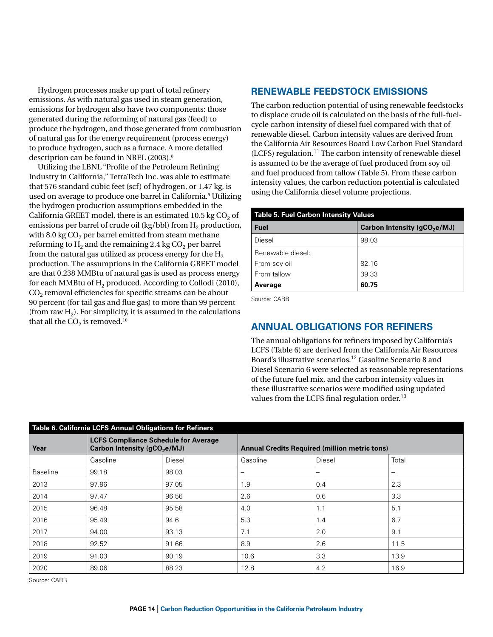Hydrogen processes make up part of total refinery emissions. As with natural gas used in steam generation, emissions for hydrogen also have two components: those generated during the reforming of natural gas (feed) to produce the hydrogen, and those generated from combustion of natural gas for the energy requirement (process energy) to produce hydrogen, such as a furnace. A more detailed description can be found in NREL (2003).8

Utilizing the LBNL "Profile of the Petroleum Refining Industry in California," TetraTech Inc. was able to estimate that 576 standard cubic feet (scf) of hydrogen, or 1.47 kg, is used on average to produce one barrel in California.9 Utilizing the hydrogen production assumptions embedded in the California GREET model, there is an estimated 10.5 kg  $CO<sub>2</sub>$  of emissions per barrel of crude oil (kg/bbl) from  $H_2$  production, with 8.0 kg  $CO<sub>2</sub>$  per barrel emitted from steam methane reforming to  $H_2$  and the remaining 2.4 kg  $CO_2$  per barrel from the natural gas utilized as process energy for the  $H_2$ production. The assumptions in the California GREET model are that 0.238 MMBtu of natural gas is used as process energy for each MMBtu of  $H_2$  produced. According to Collodi (2010),  $\mathrm{CO}_2$  removal efficiencies for specific streams can be about 90 percent (for tail gas and flue gas) to more than 99 percent (from raw  $H<sub>2</sub>$ ). For simplicity, it is assumed in the calculations that all the  $CO<sub>2</sub>$  is removed.<sup>10</sup>

# **Renewable Feedstock Emissions**

The carbon reduction potential of using renewable feedstocks to displace crude oil is calculated on the basis of the full-fuelcycle carbon intensity of diesel fuel compared with that of renewable diesel. Carbon intensity values are derived from the California Air Resources Board Low Carbon Fuel Standard  $(LCFS)$  regulation.<sup>11</sup> The carbon intensity of renewable diesel is assumed to be the average of fuel produced from soy oil and fuel produced from tallow ([Table 5](#page-13-0)). From these carbon intensity values, the carbon reduction potential is calculated using the California diesel volume projections.

<span id="page-13-0"></span>

| <b>Table 5. Fuel Carbon Intensity Values</b> |                                          |  |  |
|----------------------------------------------|------------------------------------------|--|--|
| <b>Fuel</b>                                  | Carbon Intensity (gCO <sub>2</sub> e/MJ) |  |  |
| Diesel                                       | 98.03                                    |  |  |
| Renewable diesel:                            |                                          |  |  |
| From soy oil                                 | 82.16                                    |  |  |
| From tallow                                  | 39.33                                    |  |  |
| Average                                      | 60.75                                    |  |  |

Source: CARB

# **Annual Obligations for Refiners**

The annual obligations for refiners imposed by California's LCFS (Table 6) are derived from the California Air Resources Board's illustrative scenarios.<sup>12</sup> Gasoline Scenario 8 and Diesel Scenario 6 were selected as reasonable representations of the future fuel mix, and the carbon intensity values in these illustrative scenarios were modified using updated values from the LCFS final regulation order.<sup>13</sup>

| Table 6. California LCFS Annual Obligations for Refiners |                                                                                         |        |                          |                                                      |       |  |
|----------------------------------------------------------|-----------------------------------------------------------------------------------------|--------|--------------------------|------------------------------------------------------|-------|--|
| Year                                                     | <b>LCFS Compliance Schedule for Average</b><br>Carbon Intensity (gCO <sub>2</sub> e/MJ) |        |                          | <b>Annual Credits Required (million metric tons)</b> |       |  |
|                                                          | Gasoline                                                                                | Diesel | Gasoline                 | Diesel                                               | Total |  |
| <b>Baseline</b>                                          | 99.18                                                                                   | 98.03  | $\overline{\phantom{m}}$ | $\overline{\phantom{m}}$                             |       |  |
| 2013                                                     | 97.96                                                                                   | 97.05  | 1.9                      | 0.4                                                  | 2.3   |  |
| 2014                                                     | 97.47                                                                                   | 96.56  | 2.6                      | 0.6                                                  | 3.3   |  |
| 2015                                                     | 96.48                                                                                   | 95.58  | 4.0                      | 1.1                                                  | 5.1   |  |
| 2016                                                     | 95.49                                                                                   | 94.6   | 5.3                      | 1.4                                                  | 6.7   |  |
| 2017                                                     | 94.00                                                                                   | 93.13  | 7.1                      | 2.0                                                  | 9.1   |  |
| 2018                                                     | 92.52                                                                                   | 91.66  | 8.9                      | 2.6                                                  | 11.5  |  |
| 2019                                                     | 91.03                                                                                   | 90.19  | 10.6                     | 3.3                                                  | 13.9  |  |
| 2020                                                     | 89.06                                                                                   | 88.23  | 12.8                     | 4.2                                                  | 16.9  |  |

Source: CARB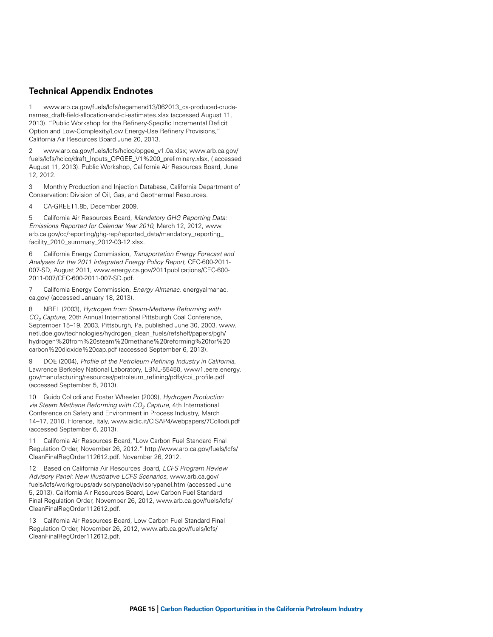#### **Technical Appendix Endnotes**

1 [www.arb.ca.gov/fuels/lcfs/regamend13/062013\\_ca-produced-crude](http://www.arb.ca.gov/fuels/lcfs/regamend13/062013_ca-produced-crude-names_draft-field-allocation-and-ci-estimates.xlsx)[names\\_draft-field-allocation-and-ci-estimates.xlsx](http://www.arb.ca.gov/fuels/lcfs/regamend13/062013_ca-produced-crude-names_draft-field-allocation-and-ci-estimates.xlsx) (accessed August 11, 2013). "Public Workshop for the Refinery-Specific Incremental Deficit Option and Low-Complexity/Low Energy-Use Refinery Provisions," California Air Resources Board June 20, 2013.

2 [www.arb.ca.gov/fuels/lcfs/hcico/opgee\\_v1.0a.xlsx;](http://www.arb.ca.gov/fuels/lcfs/hcico/opgee_v1.0a.xlsx) [www.arb.ca.gov/](http://www.arb.ca.gov/fuels/lcfs/hcico/draft_Inputs_OPGEE_V1%200_preliminary.xlsx) [fuels/lcfs/hcico/draft\\_Inputs\\_OPGEE\\_V1%200\\_preliminary.xlsx,](http://www.arb.ca.gov/fuels/lcfs/hcico/draft_Inputs_OPGEE_V1%200_preliminary.xlsx) ( accessed August 11, 2013). Public Workshop, California Air Resources Board, June 12, 2012.

3 Monthly Production and Injection Database, California Department of Conservation: Division of Oil, Gas, and Geothermal Resources.

4 CA-GREET1.8b, December 2009.

5 California Air Resources Board, *Mandatory GHG Reporting Data: Emissions Reported for Calendar Year 2010*, March 12, 2012, www. arb.ca.gov/cc/reporting/ghg-rep/reported\_data/mandatory\_reporting\_ facility\_2010\_summary\_2012-03-12.xlsx.

6 California Energy Commission, *Transportation Energy Forecast and Analyses for the 2011 Integrated Energy Policy Report*, CEC-600-2011- 007-SD, August 2011, www.energy.ca.gov/2011publications/CEC-600- 2011-007/CEC-600-2011-007-SD.pdf.

7 California Energy Commission, *Energy Almanac*, energyalmanac. ca.gov/ (accessed January 18, 2013).

8 NREL (2003), *Hydrogen from Steam-Methane Reforming with CO2 Capture*, 20th Annual International Pittsburgh Coal Conference, September 15–19, 2003, Pittsburgh, Pa, published June 30, 2003, [www.](http://www.netl.doe.gov/technologies/hydrogen_clean_fuels/refshelf/papers/pgh/hydrogen%20from%20steam%20methane%20reforming%20for%20carbon%20dioxide%20cap.pdf) [netl.doe.gov/technologies/hydrogen\\_clean\\_fuels/refshelf/papers/pgh/](http://www.netl.doe.gov/technologies/hydrogen_clean_fuels/refshelf/papers/pgh/hydrogen%20from%20steam%20methane%20reforming%20for%20carbon%20dioxide%20cap.pdf) [hydrogen%20from%20steam%20methane%20reforming%20for%20](http://www.netl.doe.gov/technologies/hydrogen_clean_fuels/refshelf/papers/pgh/hydrogen%20from%20steam%20methane%20reforming%20for%20carbon%20dioxide%20cap.pdf) [carbon%20dioxide%20cap.pdf](http://www.netl.doe.gov/technologies/hydrogen_clean_fuels/refshelf/papers/pgh/hydrogen%20from%20steam%20methane%20reforming%20for%20carbon%20dioxide%20cap.pdf) (accessed September 6, 2013).

9 DOE (2004), *Profile of the Petroleum Refining Industry in California*, Lawrence Berkeley National Laboratory, LBNL-55450, [www1.eere.energy.](http://www1.eere.energy.gov/manufacturing/resources/petroleum_refining/pdfs/cpi_profile.pdf) [gov/manufacturing/resources/petroleum\\_refining/pdfs/cpi\\_profile.pdf](http://www1.eere.energy.gov/manufacturing/resources/petroleum_refining/pdfs/cpi_profile.pdf) (accessed September 5, 2013).

10 Guido Collodi and Foster Wheeler (2009), *Hydrogen Production*  via Steam Methane Reforming with CO<sub>2</sub> Capture, 4th International Conference on Safety and Environment in Process Industry, March 14–17, 2010. Florence, Italy, [www.aidic.it/CISAP4/webpapers/7Collodi.pdf](http://www.aidic.it/CISAP4/webpapers/7Collodi.pdf) (accessed September 6, 2013).

California Air Resources Board, "Low Carbon Fuel Standard Final Regulation Order, November 26, 2012." http://www.arb.ca.gov/fuels/lcfs/ CleanFinalRegOrder112612.pdf. November 26, 2012.

12 Based on California Air Resources Board, *LCFS Program Review Advisory Panel: New Illustrative LCFS Scenarios*, www.arb.ca.gov/ fuels/lcfs/workgroups/advisorypanel/advisorypanel.htm (accessed June 5, 2013). California Air Resources Board, Low Carbon Fuel Standard Final Regulation Order, November 26, 2012, www.arb.ca.gov/fuels/lcfs/ CleanFinalRegOrder112612.pdf.

13 California Air Resources Board, Low Carbon Fuel Standard Final Regulation Order, November 26, 2012, www.arb.ca.gov/fuels/lcfs/ CleanFinalRegOrder112612.pdf.